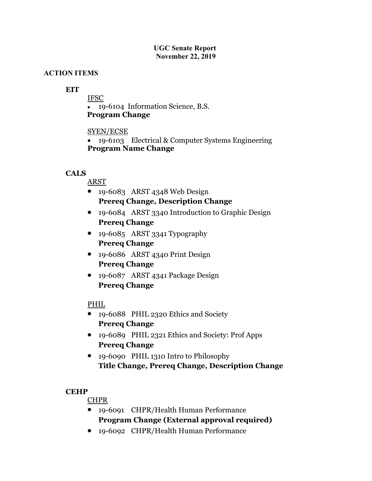#### **UGC Senate Report November 22, 2019**

### **ACTION ITEMS**

## **EIT**

IFSC 19-6104 Information Science, B.S.

**Program Change**

### SYEN/ECSE

 19-6103 Electrical & Computer Systems Engineering **Program Name Change**

### **CALS**

ARST

- $\bullet$  19-6083 ARST 4348 Web Design  **Prereq Change, Description Change**
- 19-6084 ARST 3340 Introduction to Graphic Design **Prereq Change**
- 19-6085 ARST 3341 Typography **Prereq Change**
- 19-6086 ARST 4340 Print Design **Prereq Change**
- 19-6087 ARST 4341 Package Design **Prereq Change**

## PHIL

- 19-6088 PHIL 2320 Ethics and Society **Prereq Change**
- 19-6089 PHIL 2321 Ethics and Society: Prof Apps **Prereq Change**
- 19-6090 PHIL 1310 Intro to Philosophy **Title Change, Prereq Change, Description Change**

#### **CEHP**

## CHPR

- 19-6091 CHPR/Health Human Performance **Program Change (External approval required)**
- 19-6092 CHPR/Health Human Performance